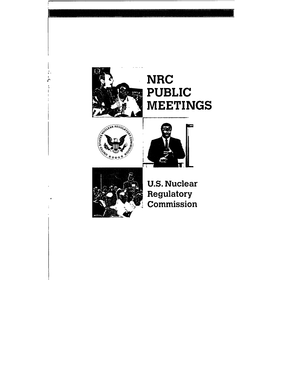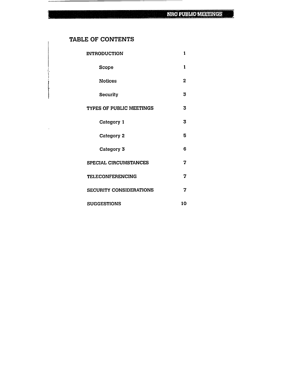the contract of the contract of the

# TABLE OF CONTENTS

i.

| <b>INTRODUCTION</b>            |   |  |  |  |
|--------------------------------|---|--|--|--|
| <b>Scope</b>                   | 1 |  |  |  |
| <b>Notices</b>                 | 2 |  |  |  |
| Security                       | 3 |  |  |  |
| TYPES OF PUBLIC MEETINGS       |   |  |  |  |
| Category 1                     | 3 |  |  |  |
| Category 2                     | 5 |  |  |  |
| Category 3                     | 6 |  |  |  |
| SPECIAL CIRCUMSTANCES          |   |  |  |  |
| <b>TELECONFERENCING</b>        |   |  |  |  |
| <b>SECURITY CONSIDERATIONS</b> |   |  |  |  |
| <b>SUGGESTIONS</b>             |   |  |  |  |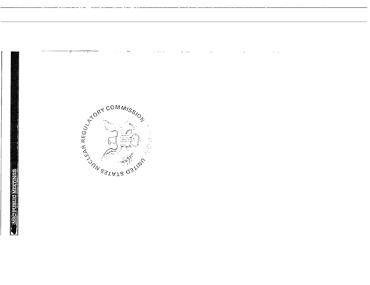



 $\sim$  1000  $\sim$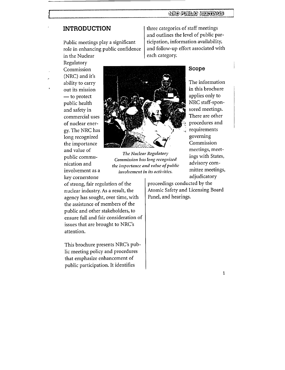# **INTRODUCTION**

Public meetings play a significant role in enhancing public confidence in the Nuclear

Regulatory Commission (NRC) and it's ability to carry out its mission  $-$  to protect public health and safety in commercial uses of nuclear energy. The NRC has long recognized the importance and value of public communication and involvement as a key cornerstone

The Nuclear Regulatory Commission has long recognized the importance and value of public involvement in its activities.

of strong, fair regulation of the nuclear industry. As a result, the agency has sought, over time, with the assistance of members of the public and other stakeholders, to ensure full and fair consideration of issues that are brought to NRC's attention.

This brochure presents NRC's public meeting policy and procedures that emphasize enhancement of public participation. It identifies

three categories of staff meetings and outlines the level of public participation, information availability, and follow-up effort associated with each category.

#### Scope

The information in this brochure applies only to NRC staff-sponsored meetings. There are other procedures and requirements governing Commission meetings, meetings with States, advisory committee meetings, adjudicatory

proceedings conducted by the Atomic Safety and Licensing Board Panel, and hearings.

 $\mathbf{1}$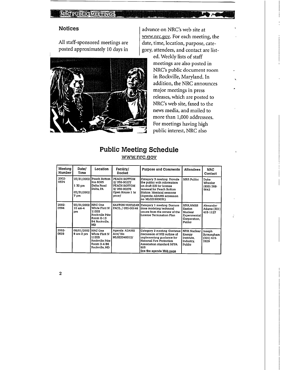# **NRC PUBLIC MEETINGS**

#### Notices

All staff-sponsored meetings are posted approximately 10 days in



advance on NRC's web site at www.nrc.gov. For each meeting, the date, time, location, purpose, cate gory, attendees, and contact are list

> ed. Weekly lists of staff meetings are also posted in NRC's public document room in Rockville, Maryland. In addition, the NRC announces major meetings in press releases, which are posted to NRC's web site, faxed to the news media, and mailed to more than 1,000 addressees. For meetings having high public interest, NRC also

# Public Meeting Schedule

www.nrc.gov

| Meeting<br>Number | Date/<br>Time                                         | Location                                                                     | Facility/<br><b>Docket</b>                                                             | Purpose and Comments                                                                                                                                                                           | <b>Attendees</b>                                                        | <b>NRC</b><br>Contact                         |
|-------------------|-------------------------------------------------------|------------------------------------------------------------------------------|----------------------------------------------------------------------------------------|------------------------------------------------------------------------------------------------------------------------------------------------------------------------------------------------|-------------------------------------------------------------------------|-----------------------------------------------|
| 2002-<br>0574     | 07/31/2002<br>130 <sub>pm</sub><br>07/31/2002<br>7 pm | Peach Bottom<br>Inn 6085<br>Delta Road<br>Delta, PA                          | PEACH BOTTOM<br>2/050-00277<br>PEACH BOTTOM<br>3/050-00278<br>Open House 1 hr<br>pnor/ | Category 3 meeting Provide<br>the public with information<br>on draft EIS for license<br>renewal for Peach Bottom<br>Station Identical sessions<br>(Agenda: ADAMS accession<br>no ML021900031) | NRR Public                                                              | Duke<br>Wheeler<br>(800) 368-<br>5642         |
| 2002-<br>0594     | 07/31/2002 NRC One<br>10 am-4<br>pm                   | White Flint N<br>11555<br>Rockville Pike<br>Room 0-13<br>B4 Rockville.<br>MD | <b>SAXTON NUCLEAR</b><br>FACIL / 050-00146                                             | Category 1 meeting Discuss<br>dose modeling technical<br>issues from the review of the<br>License Termination Plan                                                                             | NRR.NMSS<br>Saxton<br>Nuclear<br>Experimental<br>Corporation,<br>Public | Alexander<br>Adams (301)<br>415-1127          |
| 2002-<br>0609     | 08/01/2002 NRC One<br>9 am-2 pm                       | White Flint N<br>11555<br>Rockville Pike<br>Room 0-4 B6<br>Rockville, MD     | Agenda ADAMS<br>Acn/No<br>ML022040012/                                                 | Category 2 meeting Continue<br>discussion of NEI outline of<br>implementing guidance for<br>National Fire Protection<br>Association standard NFPA<br>805<br>See the agenda <u>Web page</u>     | <b>NRR Nuclear</b><br>Energy<br>Institute,<br>Industry.<br>Public       | Joseph<br>Bırmıngham<br>$(301) 415 -$<br>2829 |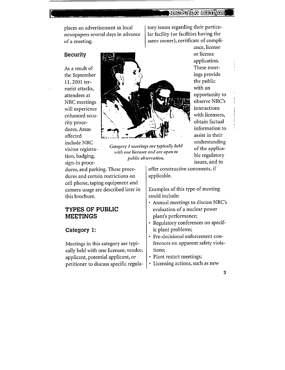<u>Nitoriubino merungsi</u>

newspapers several days in advance of a meeting.  $|$  same owner), certificate of compli-

rorist attacks, NRC meetings dures. Areas sign-in proce-



include NRC understanding visitor registers register register and the applica-<br>Category *I meetings are typically held* of the applicavisitor registra-<br>*inition alicensee and are open to* of the applica<br>*initione licensee and are open to* visitor registra-<br>tion, badging, *public observation*. **ble regulatory**<br>sign-in proce-<br>issues, and to

dures, and parking. These proce-  $\vert$  offer constructive comments, if dures and certain restrictions on  $|$  applicable. cell phone, taping equipment and camera usage are described later in this brochure.

# TYPES OF **PUBLIC MEETINGS**

#### Category **1:**

Meetings in this category are typi cally held with one licensee, vendor, applicant, potential applicant, or petitioner to discuss specific regula-

places an advertisement in local tory issues regarding their particu-<br>newspapers several days in advance and lar facility (or facilities having the

ance, license application.

Examples of this type of meeting could include:

- Annual meetings to discuss NRC's evaluation of a nuclear power plant's performance;
- Regulatory conferences on specific plant problems;
- Pre-decisional enforcement conferences on apparent safety viola tions;
- Plant restart meetings;
- Licensing actions, such as new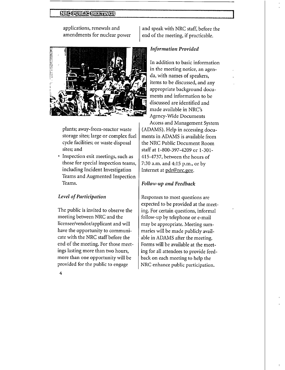#### **INEGRUBAGIMEETINGS**

applications, renewals and amendments for nuclear power



plants; away-from-reactor waste storage sites; large or complex fuel cycle facilities; or waste disposal sites; and

• Inspection exit meetings, such as those for special inspection teams, including Incident Investigation Teams and Augmented Inspection Teams.

# *Level of Participation*

The public is invited to observe the meeting between NRC and the licensee/vendor/applicant and will have the opportunity to communi cate with the NRC staff before the end of the meeting. For those meet ings lasting more than two hours, more than one opportunity will be provided for the public to engage

and speak with NRC staff, before the end of the meeting, if practicable.

#### *Information Provided*

In addition to basic information in the meeting notice, an agen da, with names of speakers, items to be discussed, and any appropriate background docu ments and information to be discussed are identified and made available in NRC's Agency-Wide Documents

Access and Management System (ADAMS). Help in accessing docu ments in ADAMS is available from the NRC Public Document Room staff at 1-800-397-4209 or 1-301 415-4737, between the hours of 7:30 a.m. and 4:15 p.m., or by Internet at pdr@nrc.gov.

#### *Follow-up and Feedback*

Responses to most questions are expected to be provided at the meet ing. For certain questions, informal follow-up by telephone or e-mail may be appropriate. Meeting sum maries will be made publicly avail able in ADAMS after the meeting. Forms will be available at the meet ing for all attendees to provide feed back on each meeting to help the NRC enhance public participation.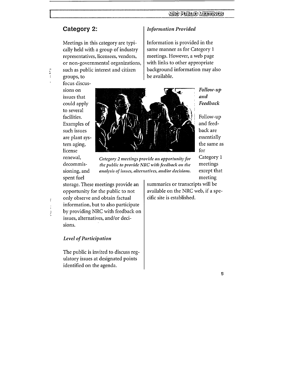# Category 2:

Meetings in this category are typi cally held with a group of industry representatives, licensees, vendors, or non-governmental organizations, such as public interest and citizen

groups, to focus discus sions on issues that could apply to several facilities. Examples of such issues are plant sys tem aging, license spent fuel



renewal, *Category 2 meetings provide an opportunity for* Category 1 decommis- the public to provide NRC with feedback on the meetings sioning, and analysis of issues, alternatives, and/or decisions. except that

storage. These meetings provide an opportunity for the public to not only observe and obtain factual information, but to also participate by providing NRC with feedback on issues, alternatives, and/or deci sions.

#### *Level of Participation*

)

 $\mathbf{r}$ 

 $\frac{1}{2}$ 

The public is invited to discuss reg ulatory issues at designated points identified on the agenda.

#### *Information Provided*

Information is provided in the same manner as for Category 1 meetings. However, a web page with links to other appropriate background information may also be available.

> *Follow-up and Feedback*

Follow-up and feed back are essentially the same as for

meeting

summaries or transcripts will be available on the NRC web, if a spe cific site is established.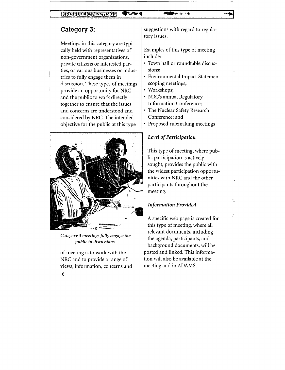# NRC RUBAC MEETINGS

# Category **3:**

Meetings in this category are typi cally held with representatives of non-government organizations, private citizens or interested par ties, or various businesses or indus tries to fully engage them in discussion. These types of meetings provide an opportunity for NRC and the public to work directly together to ensure that the issues and concerns are understood and considered by NRC. The intended objective for the public at this type



*Category 3 meetings fidly engage the public in discussions.*

of meeting is to work with the NRC and to provide a range of views, information, concerns and suggestions with regard to regula tory issues.

Examples of this type of meeting include:

- Town hall or roundtable discussions;
- Environmental Impact Statement scoping meetings;
- Workshops;
- NRC's annual Regulatory Information Conference;
- The Nuclear Safety Research Conference; and
- Proposed rulemaking meetings

#### *Level of Participation*

This type of meeting, where pub lic participation is actively sought, provides the public with the widest participation opportu nities with NRC and the other participants throughout the meeting.

V

#### *Information Provided*

A specific web page is created for this type of meeting, where all relevant documents, including the agenda, participants, and background documents, will be posted and linked. This informa tion will also be available at the meeting and in ADAMS.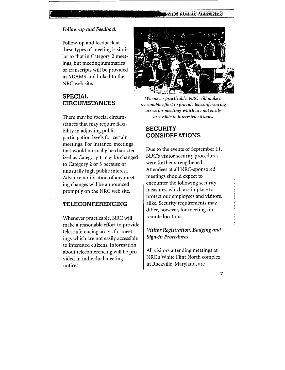#### *Follow-up and Feedback*

Follow-up and feedback at these types of meeting is simi lar to that in Category 2 meet ings, but meeting summaries or transcripts will be provided in ADAMS and linked to the NRC web site.

# **SPECIAL CIRCUMSTANCES**

There may be special circum stances that may require flexi bility in adjusting public participation levels for certain meetings. For instance, meetings that would normally be character ized as Category 1 may be changed to Category 2 or 3 because of unusually high public interest. Advance notification of any meet ing changes will be announced promptly on the NRC web site.

#### **TELECONFERENCING**

Whenever practicable, NRC will make a reasonable effort to provide teleconferencing access for meet ings which are not easily accessible to interested citizens. Information about teleconferencing will be pro vided in individual meeting notices.



**.oft. .0 , mm sý**

*Whenever practicable, NRC will make a reasonable effort to provide teleconferencing access for meetings which are not easily accessible to interested citizens.*

#### **SECURITY CONSIDERATIONS**

Due to the events of September 11, NRC's visitor security procedures were further strengthened. Attendees at all NRC-sponsored meetings should expect to encounter the following security measures, which are in place to protect our employees and visitors, alike. Security requirements may differ, however, for meetings in remote locations.

# *Visitor Registration, Badging and Sign-in Procedures*

All visitors attending meetings at NRC's White Flint North complex in Rockville, Maryland, are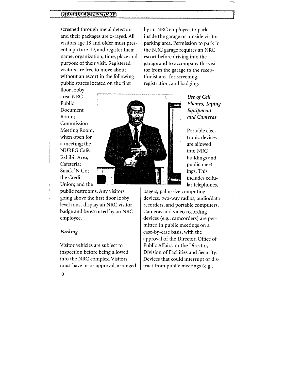### **MRCQUELCMENTRES**

screened through metal detectors and their packages are x-rayed. **All**  visitors age 18 and older must pres ent a picture ID, and register their name, organization, time, place and purpose of their visit. Registered visitors are free to move about without an escort in the following public spaces located on the first

by an NRC employee, to park inside the garage or outside visitor parking area. Permission to park in the NRC garage requires an NRC escort before driving into the garage and to accompany the visi tor from the garage to the recep tionist area for screening, registration, and badging.

floor lobby area: NRC Public Document Room; Commission Meeting Room, when open for a meeting; the NUREG Café; Exhibit Area; Cafeteria; Snack 'N Go; the Credit Union; and the



*Use of Cell Phones, Taping Equipment and Cameras*

Portable electronic devices are allowed into NRC buildings and public meet ings. This includes cellu lar telephones,

public restrooms. Any visitors going above the first floor lobby level must display an NRC visitor badge and be escorted by an NRC employee.

#### *Parking*

Visitor vehicles are subject to inspection before being allowed into the NRC complex. Visitors must have prior approval, arranged

pagers, palm-size computing devices, two-way radios, audio/data recorders, and portable computers. Cameras and video recording devices (e.g., camcorders) are per mitted in public meetings on a case-by-case basis, with the approval of the Director, Office of Public Affairs, or the Director, Division of Facilities and Security. Devices that could interrupt or dis tract from public meetings (e.g.,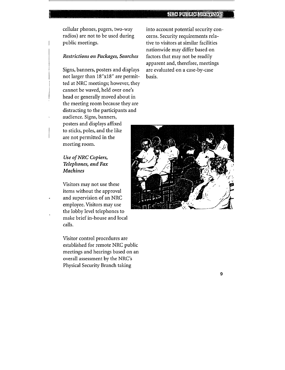cellular phones, pagers, two-way radios) are not to be used during public meetings.

#### *Restrictions on Packages, Searches*

Signs, banners, posters and displays not larger than 18"x18" are permit ted at NRC meetings; however, they cannot be waved, held over one's head or generally moved about in the meeting room because they are distracting to the participants and audience. Signs, banners, posters and displays affixed to sticks, poles, and the like are not permitted in the meeting room.

*Use of NRC Copiers, Telephones, and Fax Machines* 

Visitors may not use these items without the approval and supervision of an NRC employee. Visitors may use the lobby level telephones to make brief in-house and local calls.

Visitor control procedures are established for remote NRC public meetings and hearings based on an overall assessment by the NRC's Physical Security Branch taking

into account potential security con cerns. Security requirements rela tive to visitors at similar facilities nationwide may differ based on factors that may not be readily apparent and, therefore, meetings are evaluated on a case-by-case basis.



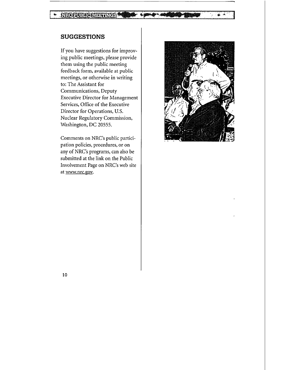# **МЕСЕОЗИСИЛЯНИМСЕ**

# **SUGGESTIONS**

If you have suggestions for improv ing public meetings, please provide them using the public meeting feedback form, available at public meetings, or otherwise in writing to: The Assistant for Communications, Deputy Executive Director for Management Services, Office of the Executive Director for Operations, U.S. Nuclear Regulatory Commission, Washington, DC 20555.

Comments on NRC's public partici pation policies, procedures, or on any of NRC's programs, can also be submitted at the link on the Public Involvement Page on NRC's web site at www.nrc.gov.